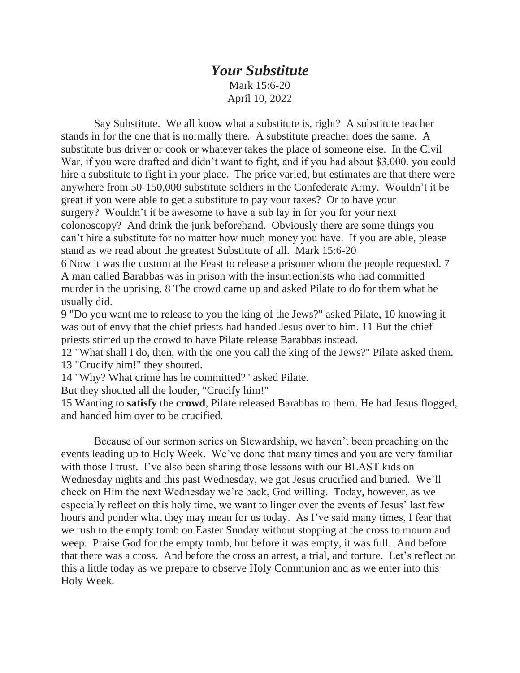## *Your Substitute* Mark 15:6-20

April 10, 2022

 Say Substitute. We all know what a substitute is, right? A substitute teacher stands in for the one that is normally there. A substitute preacher does the same. A substitute bus driver or cook or whatever takes the place of someone else. In the Civil War, if you were drafted and didn't want to fight, and if you had about \$3,000, you could hire a substitute to fight in your place. The price varied, but estimates are that there were anywhere from 50-150,000 substitute soldiers in the Confederate Army. Wouldn't it be great if you were able to get a substitute to pay your taxes? Or to have your surgery? Wouldn't it be awesome to have a sub lay in for you for your next colonoscopy? And drink the junk beforehand. Obviously there are some things you can't hire a substitute for no matter how much money you have. If you are able, please stand as we read about the greatest Substitute of all. Mark 15:6-20

6 Now it was the custom at the Feast to release a prisoner whom the people requested. 7 A man called Barabbas was in prison with the insurrectionists who had committed murder in the uprising. 8 The crowd came up and asked Pilate to do for them what he usually did.

9 "Do you want me to release to you the king of the Jews?" asked Pilate, 10 knowing it was out of envy that the chief priests had handed Jesus over to him. 11 But the chief priests stirred up the crowd to have Pilate release Barabbas instead.

12 "What shall I do, then, with the one you call the king of the Jews?" Pilate asked them. 13 "Crucify him!" they shouted.

14 "Why? What crime has he committed?" asked Pilate.

But they shouted all the louder, "Crucify him!"

15 Wanting to **satisfy** the **crowd**, Pilate released Barabbas to them. He had Jesus flogged, and handed him over to be crucified.

 Because of our sermon series on Stewardship, we haven't been preaching on the events leading up to Holy Week. We've done that many times and you are very familiar with those I trust. I've also been sharing those lessons with our BLAST kids on Wednesday nights and this past Wednesday, we got Jesus crucified and buried. We'll check on Him the next Wednesday we're back, God willing. Today, however, as we especially reflect on this holy time, we want to linger over the events of Jesus' last few hours and ponder what they may mean for us today. As I've said many times, I fear that we rush to the empty tomb on Easter Sunday without stopping at the cross to mourn and weep. Praise God for the empty tomb, but before it was empty, it was full. And before that there was a cross. And before the cross an arrest, a trial, and torture. Let's reflect on this a little today as we prepare to observe Holy Communion and as we enter into this Holy Week.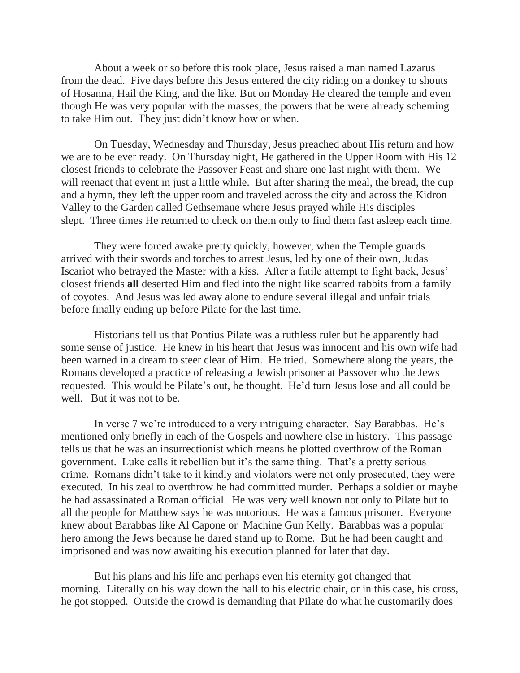About a week or so before this took place, Jesus raised a man named Lazarus from the dead. Five days before this Jesus entered the city riding on a donkey to shouts of Hosanna, Hail the King, and the like. But on Monday He cleared the temple and even though He was very popular with the masses, the powers that be were already scheming to take Him out. They just didn't know how or when.

 On Tuesday, Wednesday and Thursday, Jesus preached about His return and how we are to be ever ready. On Thursday night, He gathered in the Upper Room with His 12 closest friends to celebrate the Passover Feast and share one last night with them. We will reenact that event in just a little while. But after sharing the meal, the bread, the cup and a hymn, they left the upper room and traveled across the city and across the Kidron Valley to the Garden called Gethsemane where Jesus prayed while His disciples slept. Three times He returned to check on them only to find them fast asleep each time.

 They were forced awake pretty quickly, however, when the Temple guards arrived with their swords and torches to arrest Jesus, led by one of their own, Judas Iscariot who betrayed the Master with a kiss. After a futile attempt to fight back, Jesus' closest friends **all** deserted Him and fled into the night like scarred rabbits from a family of coyotes. And Jesus was led away alone to endure several illegal and unfair trials before finally ending up before Pilate for the last time.

 Historians tell us that Pontius Pilate was a ruthless ruler but he apparently had some sense of justice. He knew in his heart that Jesus was innocent and his own wife had been warned in a dream to steer clear of Him. He tried. Somewhere along the years, the Romans developed a practice of releasing a Jewish prisoner at Passover who the Jews requested. This would be Pilate's out, he thought. He'd turn Jesus lose and all could be well. But it was not to be.

 In verse 7 we're introduced to a very intriguing character. Say Barabbas. He's mentioned only briefly in each of the Gospels and nowhere else in history. This passage tells us that he was an insurrectionist which means he plotted overthrow of the Roman government. Luke calls it rebellion but it's the same thing. That's a pretty serious crime. Romans didn't take to it kindly and violators were not only prosecuted, they were executed. In his zeal to overthrow he had committed murder. Perhaps a soldier or maybe he had assassinated a Roman official. He was very well known not only to Pilate but to all the people for Matthew says he was notorious. He was a famous prisoner. Everyone knew about Barabbas like Al Capone or Machine Gun Kelly. Barabbas was a popular hero among the Jews because he dared stand up to Rome. But he had been caught and imprisoned and was now awaiting his execution planned for later that day.

 But his plans and his life and perhaps even his eternity got changed that morning. Literally on his way down the hall to his electric chair, or in this case, his cross, he got stopped. Outside the crowd is demanding that Pilate do what he customarily does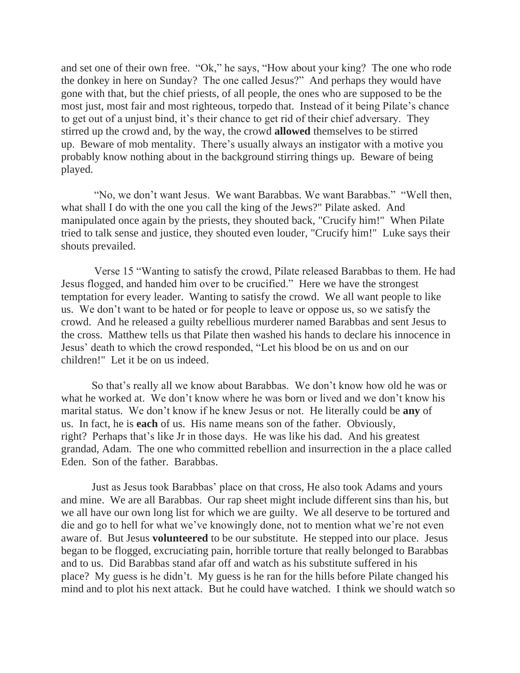and set one of their own free. "Ok," he says, "How about your king? The one who rode the donkey in here on Sunday? The one called Jesus?" And perhaps they would have gone with that, but the chief priests, of all people, the ones who are supposed to be the most just, most fair and most righteous, torpedo that. Instead of it being Pilate's chance to get out of a unjust bind, it's their chance to get rid of their chief adversary. They stirred up the crowd and, by the way, the crowd **allowed** themselves to be stirred up. Beware of mob mentality. There's usually always an instigator with a motive you probably know nothing about in the background stirring things up. Beware of being played.

 "No, we don't want Jesus. We want Barabbas. We want Barabbas." "Well then, what shall I do with the one you call the king of the Jews?" Pilate asked. And manipulated once again by the priests, they shouted back, "Crucify him!" When Pilate tried to talk sense and justice, they shouted even louder, "Crucify him!" Luke says their shouts prevailed.

 Verse 15 "Wanting to satisfy the crowd, Pilate released Barabbas to them. He had Jesus flogged, and handed him over to be crucified." Here we have the strongest temptation for every leader. Wanting to satisfy the crowd. We all want people to like us. We don't want to be hated or for people to leave or oppose us, so we satisfy the crowd. And he released a guilty rebellious murderer named Barabbas and sent Jesus to the cross. Matthew tells us that Pilate then washed his hands to declare his innocence in Jesus' death to which the crowd responded, "Let his blood be on us and on our children!" Let it be on us indeed.

So that's really all we know about Barabbas. We don't know how old he was or what he worked at. We don't know where he was born or lived and we don't know his marital status. We don't know if he knew Jesus or not. He literally could be **any** of us. In fact, he is **each** of us. His name means son of the father. Obviously, right? Perhaps that's like Jr in those days. He was like his dad. And his greatest grandad, Adam. The one who committed rebellion and insurrection in the a place called Eden. Son of the father. Barabbas.

Just as Jesus took Barabbas' place on that cross, He also took Adams and yours and mine. We are all Barabbas. Our rap sheet might include different sins than his, but we all have our own long list for which we are guilty. We all deserve to be tortured and die and go to hell for what we've knowingly done, not to mention what we're not even aware of. But Jesus **volunteered** to be our substitute. He stepped into our place. Jesus began to be flogged, excruciating pain, horrible torture that really belonged to Barabbas and to us. Did Barabbas stand afar off and watch as his substitute suffered in his place? My guess is he didn't. My guess is he ran for the hills before Pilate changed his mind and to plot his next attack. But he could have watched. I think we should watch so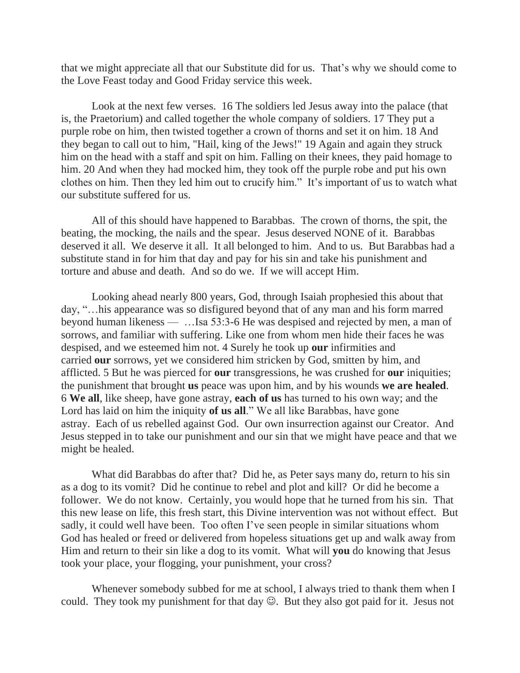that we might appreciate all that our Substitute did for us. That's why we should come to the Love Feast today and Good Friday service this week.

Look at the next few verses. 16 The soldiers led Jesus away into the palace (that is, the Praetorium) and called together the whole company of soldiers. 17 They put a purple robe on him, then twisted together a crown of thorns and set it on him. 18 And they began to call out to him, "Hail, king of the Jews!" 19 Again and again they struck him on the head with a staff and spit on him. Falling on their knees, they paid homage to him. 20 And when they had mocked him, they took off the purple robe and put his own clothes on him. Then they led him out to crucify him." It's important of us to watch what our substitute suffered for us.

All of this should have happened to Barabbas. The crown of thorns, the spit, the beating, the mocking, the nails and the spear. Jesus deserved NONE of it. Barabbas deserved it all. We deserve it all. It all belonged to him. And to us. But Barabbas had a substitute stand in for him that day and pay for his sin and take his punishment and torture and abuse and death. And so do we. If we will accept Him.

Looking ahead nearly 800 years, God, through Isaiah prophesied this about that day, "…his appearance was so disfigured beyond that of any man and his form marred beyond human likeness — …Isa 53:3-6 He was despised and rejected by men, a man of sorrows, and familiar with suffering. Like one from whom men hide their faces he was despised, and we esteemed him not. 4 Surely he took up **our** infirmities and carried **our** sorrows, yet we considered him stricken by God, smitten by him, and afflicted. 5 But he was pierced for **our** transgressions, he was crushed for **our** iniquities; the punishment that brought **us** peace was upon him, and by his wounds **we are healed**. 6 **We all**, like sheep, have gone astray, **each of us** has turned to his own way; and the Lord has laid on him the iniquity **of us all**." We all like Barabbas, have gone astray. Each of us rebelled against God. Our own insurrection against our Creator. And Jesus stepped in to take our punishment and our sin that we might have peace and that we might be healed.

What did Barabbas do after that? Did he, as Peter says many do, return to his sin as a dog to its vomit? Did he continue to rebel and plot and kill? Or did he become a follower. We do not know. Certainly, you would hope that he turned from his sin. That this new lease on life, this fresh start, this Divine intervention was not without effect. But sadly, it could well have been. Too often I've seen people in similar situations whom God has healed or freed or delivered from hopeless situations get up and walk away from Him and return to their sin like a dog to its vomit. What will **you** do knowing that Jesus took your place, your flogging, your punishment, your cross?

Whenever somebody subbed for me at school, I always tried to thank them when I could. They took my punishment for that day  $\mathcal{O}$ . But they also got paid for it. Jesus not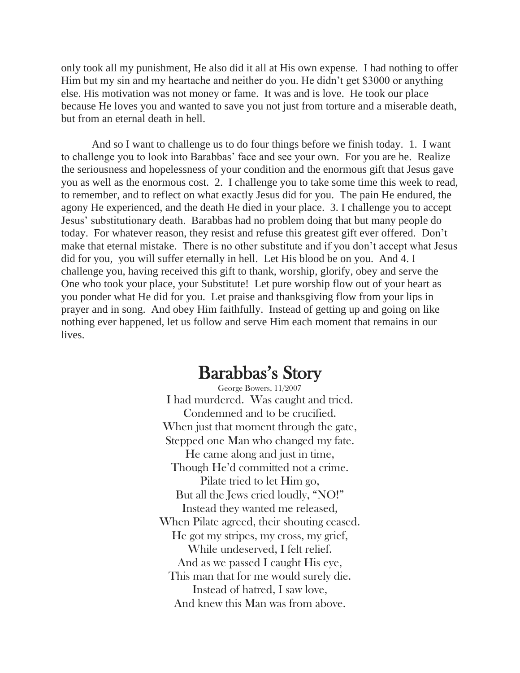only took all my punishment, He also did it all at His own expense. I had nothing to offer Him but my sin and my heartache and neither do you. He didn't get \$3000 or anything else. His motivation was not money or fame. It was and is love. He took our place because He loves you and wanted to save you not just from torture and a miserable death, but from an eternal death in hell.

And so I want to challenge us to do four things before we finish today. 1. I want to challenge you to look into Barabbas' face and see your own. For you are he. Realize the seriousness and hopelessness of your condition and the enormous gift that Jesus gave you as well as the enormous cost. 2. I challenge you to take some time this week to read, to remember, and to reflect on what exactly Jesus did for you. The pain He endured, the agony He experienced, and the death He died in your place. 3. I challenge you to accept Jesus' substitutionary death. Barabbas had no problem doing that but many people do today. For whatever reason, they resist and refuse this greatest gift ever offered. Don't make that eternal mistake. There is no other substitute and if you don't accept what Jesus did for you, you will suffer eternally in hell. Let His blood be on you. And 4. I challenge you, having received this gift to thank, worship, glorify, obey and serve the One who took your place, your Substitute! Let pure worship flow out of your heart as you ponder what He did for you. Let praise and thanksgiving flow from your lips in prayer and in song. And obey Him faithfully. Instead of getting up and going on like nothing ever happened, let us follow and serve Him each moment that remains in our lives.

## Barabbas's Story

George Bowers, 11/2007 I had murdered. Was caught and tried. Condemned and to be crucified. When just that moment through the gate, Stepped one Man who changed my fate. He came along and just in time, Though He'd committed not a crime. Pilate tried to let Him go, But all the Jews cried loudly, "NO!" Instead they wanted me released, When Pilate agreed, their shouting ceased. He got my stripes, my cross, my grief, While undeserved, I felt relief. And as we passed I caught His eye, This man that for me would surely die. Instead of hatred, I saw love, And knew this Man was from above.